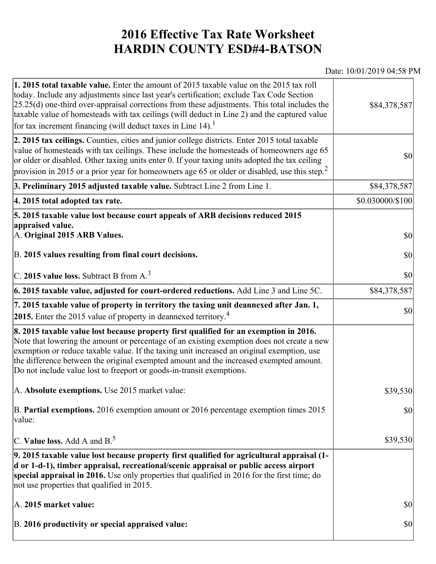## **2016 Effective Tax Rate Worksheet HARDIN COUNTY ESD#4-BATSON**

## Date: 10/01/2019 04:58 PM

| 1. 2015 total taxable value. Enter the amount of 2015 taxable value on the 2015 tax roll<br>today. Include any adjustments since last year's certification; exclude Tax Code Section<br>$[25.25(d)$ one-third over-appraisal corrections from these adjustments. This total includes the<br>taxable value of homesteads with tax ceilings (will deduct in Line 2) and the captured value<br>for tax increment financing (will deduct taxes in Line $14$ ). <sup>1</sup> | \$84,378,587     |
|-------------------------------------------------------------------------------------------------------------------------------------------------------------------------------------------------------------------------------------------------------------------------------------------------------------------------------------------------------------------------------------------------------------------------------------------------------------------------|------------------|
| 2. 2015 tax ceilings. Counties, cities and junior college districts. Enter 2015 total taxable<br>value of homesteads with tax ceilings. These include the homesteads of homeowners age 65<br>or older or disabled. Other taxing units enter 0. If your taxing units adopted the tax ceiling<br>provision in 2015 or a prior year for homeowners age 65 or older or disabled, use this step. <sup>2</sup>                                                                | 30               |
| 3. Preliminary 2015 adjusted taxable value. Subtract Line 2 from Line 1.                                                                                                                                                                                                                                                                                                                                                                                                | \$84,378,587     |
| 4. 2015 total adopted tax rate.                                                                                                                                                                                                                                                                                                                                                                                                                                         | \$0.030000/\$100 |
| 5. 2015 taxable value lost because court appeals of ARB decisions reduced 2015<br>appraised value.<br>A. Original 2015 ARB Values.                                                                                                                                                                                                                                                                                                                                      | $ 10\rangle$     |
| B. 2015 values resulting from final court decisions.                                                                                                                                                                                                                                                                                                                                                                                                                    | $ 10\rangle$     |
| C. 2015 value loss. Subtract B from A. <sup>3</sup>                                                                                                                                                                                                                                                                                                                                                                                                                     | 30               |
| 6. 2015 taxable value, adjusted for court-ordered reductions. Add Line 3 and Line 5C.                                                                                                                                                                                                                                                                                                                                                                                   | \$84,378,587     |
| 7. 2015 taxable value of property in territory the taxing unit deannexed after Jan. 1,<br>2015. Enter the 2015 value of property in deannexed territory. <sup>4</sup>                                                                                                                                                                                                                                                                                                   | \$0              |
| 8. 2015 taxable value lost because property first qualified for an exemption in 2016.<br>Note that lowering the amount or percentage of an existing exemption does not create a new<br>exemption or reduce taxable value. If the taxing unit increased an original exemption, use<br>the difference between the original exempted amount and the increased exempted amount.<br>Do not include value lost to freeport or goods-in-transit exemptions.                    |                  |
| A. Absolute exemptions. Use 2015 market value:                                                                                                                                                                                                                                                                                                                                                                                                                          | \$39,530         |
| B. Partial exemptions. 2016 exemption amount or 2016 percentage exemption times 2015<br>$\vert$ value:                                                                                                                                                                                                                                                                                                                                                                  | $ 10\rangle$     |
| C. Value loss. Add A and $B^5$                                                                                                                                                                                                                                                                                                                                                                                                                                          | \$39,530         |
| 9. 2015 taxable value lost because property first qualified for agricultural appraisal (1-<br>d or 1-d-1), timber appraisal, recreational/scenic appraisal or public access airport<br>special appraisal in 2016. Use only properties that qualified in 2016 for the first time; do<br>not use properties that qualified in 2015.                                                                                                                                       |                  |
| A. 2015 market value:                                                                                                                                                                                                                                                                                                                                                                                                                                                   | $ 10\rangle$     |
| B. 2016 productivity or special appraised value:                                                                                                                                                                                                                                                                                                                                                                                                                        | \$0              |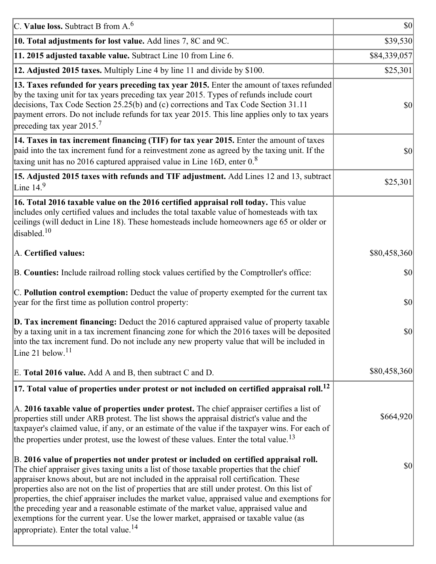| C. Value loss. Subtract B from $A6$                                                                                                                                                                                                                                                                                                                                                                                                                                                                                                                                                                                                                                                                                      | $ 10\rangle$ |
|--------------------------------------------------------------------------------------------------------------------------------------------------------------------------------------------------------------------------------------------------------------------------------------------------------------------------------------------------------------------------------------------------------------------------------------------------------------------------------------------------------------------------------------------------------------------------------------------------------------------------------------------------------------------------------------------------------------------------|--------------|
| 10. Total adjustments for lost value. Add lines 7, 8C and 9C.                                                                                                                                                                                                                                                                                                                                                                                                                                                                                                                                                                                                                                                            | \$39,530     |
| 11. 2015 adjusted taxable value. Subtract Line 10 from Line 6.                                                                                                                                                                                                                                                                                                                                                                                                                                                                                                                                                                                                                                                           | \$84,339,057 |
| 12. Adjusted 2015 taxes. Multiply Line 4 by line 11 and divide by \$100.                                                                                                                                                                                                                                                                                                                                                                                                                                                                                                                                                                                                                                                 | \$25,301     |
| 13. Taxes refunded for years preceding tax year 2015. Enter the amount of taxes refunded<br>by the taxing unit for tax years preceding tax year 2015. Types of refunds include court<br>decisions, Tax Code Section 25.25(b) and (c) corrections and Tax Code Section 31.11<br>payment errors. Do not include refunds for tax year 2015. This line applies only to tax years<br>preceding tax year 2015. <sup>7</sup>                                                                                                                                                                                                                                                                                                    | \$0          |
| 14. Taxes in tax increment financing (TIF) for tax year 2015. Enter the amount of taxes<br>paid into the tax increment fund for a reinvestment zone as agreed by the taxing unit. If the<br>taxing unit has no 2016 captured appraised value in Line 16D, enter $0.8$                                                                                                                                                                                                                                                                                                                                                                                                                                                    | 30           |
| 15. Adjusted 2015 taxes with refunds and TIF adjustment. Add Lines 12 and 13, subtract<br>Line $149$                                                                                                                                                                                                                                                                                                                                                                                                                                                                                                                                                                                                                     | \$25,301     |
| 16. Total 2016 taxable value on the 2016 certified appraisal roll today. This value<br>includes only certified values and includes the total taxable value of homesteads with tax<br>ceilings (will deduct in Line 18). These homesteads include homeowners age 65 or older or<br>disabled. <sup>10</sup>                                                                                                                                                                                                                                                                                                                                                                                                                |              |
| A. Certified values:                                                                                                                                                                                                                                                                                                                                                                                                                                                                                                                                                                                                                                                                                                     | \$80,458,360 |
| B. Counties: Include railroad rolling stock values certified by the Comptroller's office:                                                                                                                                                                                                                                                                                                                                                                                                                                                                                                                                                                                                                                | \$0          |
| C. Pollution control exemption: Deduct the value of property exempted for the current tax<br>year for the first time as pollution control property:                                                                                                                                                                                                                                                                                                                                                                                                                                                                                                                                                                      | $ 10\rangle$ |
| $\vert$ D. Tax increment financing: Deduct the 2016 captured appraised value of property taxable<br>by a taxing unit in a tax increment financing zone for which the 2016 taxes will be deposited<br>into the tax increment fund. Do not include any new property value that will be included in<br>Line 21 below. $11$                                                                                                                                                                                                                                                                                                                                                                                                  | \$0          |
| E. Total 2016 value. Add A and B, then subtract C and D.                                                                                                                                                                                                                                                                                                                                                                                                                                                                                                                                                                                                                                                                 | \$80,458,360 |
| $ 17$ . Total value of properties under protest or not included on certified appraisal roll. <sup>12</sup>                                                                                                                                                                                                                                                                                                                                                                                                                                                                                                                                                                                                               |              |
| A. 2016 taxable value of properties under protest. The chief appraiser certifies a list of<br>properties still under ARB protest. The list shows the appraisal district's value and the<br>taxpayer's claimed value, if any, or an estimate of the value if the taxpayer wins. For each of<br>the properties under protest, use the lowest of these values. Enter the total value. <sup>13</sup>                                                                                                                                                                                                                                                                                                                         | \$664,920    |
| B. 2016 value of properties not under protest or included on certified appraisal roll.<br>The chief appraiser gives taxing units a list of those taxable properties that the chief<br>appraiser knows about, but are not included in the appraisal roll certification. These<br>properties also are not on the list of properties that are still under protest. On this list of<br>properties, the chief appraiser includes the market value, appraised value and exemptions for<br>the preceding year and a reasonable estimate of the market value, appraised value and<br>exemptions for the current year. Use the lower market, appraised or taxable value (as<br>appropriate). Enter the total value. <sup>14</sup> | \$0          |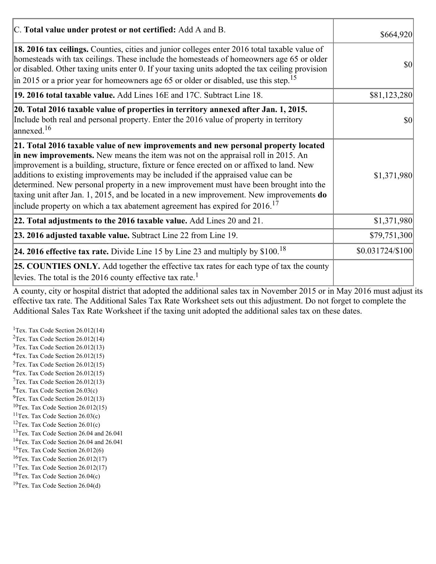| C. Total value under protest or not certified: Add A and B.                                                                                                                                                                                                                                                                                                                                                                                                                                                                                                                                                                                  | \$664,920        |
|----------------------------------------------------------------------------------------------------------------------------------------------------------------------------------------------------------------------------------------------------------------------------------------------------------------------------------------------------------------------------------------------------------------------------------------------------------------------------------------------------------------------------------------------------------------------------------------------------------------------------------------------|------------------|
| 18. 2016 tax ceilings. Counties, cities and junior colleges enter 2016 total taxable value of<br>homesteads with tax ceilings. These include the homesteads of homeowners age 65 or older<br>or disabled. Other taxing units enter 0. If your taxing units adopted the tax ceiling provision<br>in 2015 or a prior year for homeowners age 65 or older or disabled, use this step. <sup>15</sup>                                                                                                                                                                                                                                             | \$0              |
| 19. 2016 total taxable value. Add Lines 16E and 17C. Subtract Line 18.                                                                                                                                                                                                                                                                                                                                                                                                                                                                                                                                                                       | \$81,123,280     |
| 20. Total 2016 taxable value of properties in territory annexed after Jan. 1, 2015.<br>Include both real and personal property. Enter the 2016 value of property in territory<br>$\text{lanned}$ . <sup>16</sup>                                                                                                                                                                                                                                                                                                                                                                                                                             | 10               |
| 21. Total 2016 taxable value of new improvements and new personal property located<br>in new improvements. New means the item was not on the appraisal roll in 2015. An<br>improvement is a building, structure, fixture or fence erected on or affixed to land. New<br>additions to existing improvements may be included if the appraised value can be<br>determined. New personal property in a new improvement must have been brought into the<br>taxing unit after Jan. 1, 2015, and be located in a new improvement. New improvements do<br>include property on which a tax abatement agreement has expired for $2016$ . <sup>17</sup> | \$1,371,980      |
| 22. Total adjustments to the 2016 taxable value. Add Lines 20 and 21.                                                                                                                                                                                                                                                                                                                                                                                                                                                                                                                                                                        | \$1,371,980      |
| 23. 2016 adjusted taxable value. Subtract Line 22 from Line 19.                                                                                                                                                                                                                                                                                                                                                                                                                                                                                                                                                                              | \$79,751,300     |
| <b>24. 2016 effective tax rate.</b> Divide Line 15 by Line 23 and multiply by $$100$ . <sup>18</sup>                                                                                                                                                                                                                                                                                                                                                                                                                                                                                                                                         | \$0.031724/\$100 |
| <b>25. COUNTIES ONLY.</b> Add together the effective tax rates for each type of tax the county<br>levies. The total is the 2016 county effective tax rate. <sup>1</sup>                                                                                                                                                                                                                                                                                                                                                                                                                                                                      |                  |

A county, city or hospital district that adopted the additional sales tax in November 2015 or in May 2016 must adjust its effective tax rate. The Additional Sales Tax Rate Worksheet sets out this adjustment. Do not forget to complete the Additional Sales Tax Rate Worksheet if the taxing unit adopted the additional sales tax on these dates.

<sup>1</sup>Tex. Tax Code Section  $26.012(14)$ <sup>2</sup>Tex. Tax Code Section  $26.012(14)$  $3$ Tex. Tax Code Section 26.012(13)  ${}^{4}$ Tex. Tax Code Section 26.012(15)  $5$ Tex. Tax Code Section 26.012(15)  ${}^{6}$ Tex. Tax Code Section 26.012(15)  $7$ Tex. Tax Code Section 26.012(13)  ${}^{8}$ Tex. Tax Code Section 26.03(c)  $^{9}$ Tex. Tax Code Section 26.012(13)  $10$ Tex. Tax Code Section 26.012(15) <sup>11</sup>Tex. Tax Code Section  $26.03(c)$ <sup>12</sup>Tex. Tax Code Section  $26.01(c)$ <sup>13</sup>Tex. Tax Code Section 26.04 and 26.041 <sup>14</sup>Tex. Tax Code Section 26.04 and 26.041 <sup>15</sup>Tex. Tax Code Section  $26.012(6)$  $16$ Tex. Tax Code Section 26.012(17) <sup>17</sup>Tex. Tax Code Section  $26.012(17)$ <sup>18</sup>Tex. Tax Code Section 26.04(c) <sup>19</sup>Tex. Tax Code Section 26.04(d)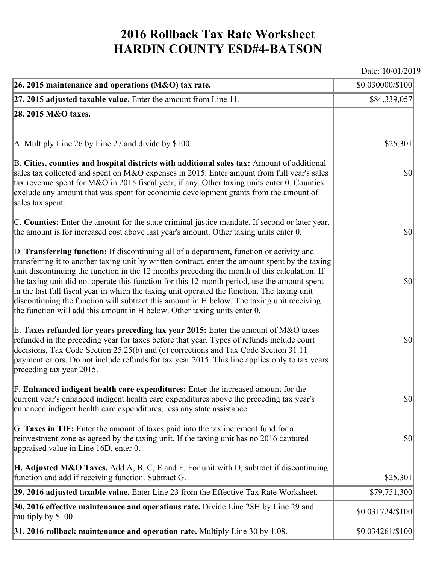## **2016 Rollback Tax Rate Worksheet HARDIN COUNTY ESD#4-BATSON**

Date: 10/01/2019

| 26. 2015 maintenance and operations (M&O) tax rate.                                                                                                                                                                                                                                                                                                                                                                                                                                                                                                                                                                                                                     | \$0.030000/\$100 |
|-------------------------------------------------------------------------------------------------------------------------------------------------------------------------------------------------------------------------------------------------------------------------------------------------------------------------------------------------------------------------------------------------------------------------------------------------------------------------------------------------------------------------------------------------------------------------------------------------------------------------------------------------------------------------|------------------|
| $ 27.2015$ adjusted taxable value. Enter the amount from Line 11.                                                                                                                                                                                                                                                                                                                                                                                                                                                                                                                                                                                                       | \$84,339,057     |
| 28. 2015 M&O taxes.                                                                                                                                                                                                                                                                                                                                                                                                                                                                                                                                                                                                                                                     |                  |
|                                                                                                                                                                                                                                                                                                                                                                                                                                                                                                                                                                                                                                                                         |                  |
| $ A$ . Multiply Line 26 by Line 27 and divide by \$100.                                                                                                                                                                                                                                                                                                                                                                                                                                                                                                                                                                                                                 | \$25,301         |
| B. Cities, counties and hospital districts with additional sales tax: Amount of additional<br>sales tax collected and spent on M&O expenses in 2015. Enter amount from full year's sales<br>tax revenue spent for M&O in 2015 fiscal year, if any. Other taxing units enter 0. Counties<br>exclude any amount that was spent for economic development grants from the amount of<br>sales tax spent.                                                                                                                                                                                                                                                                     | $ 10\rangle$     |
| C. Counties: Enter the amount for the state criminal justice mandate. If second or later year,<br>the amount is for increased cost above last year's amount. Other taxing units enter 0.                                                                                                                                                                                                                                                                                                                                                                                                                                                                                | $ 10\rangle$     |
| D. Transferring function: If discontinuing all of a department, function or activity and<br>transferring it to another taxing unit by written contract, enter the amount spent by the taxing<br>unit discontinuing the function in the 12 months preceding the month of this calculation. If<br>the taxing unit did not operate this function for this 12-month period, use the amount spent<br>in the last full fiscal year in which the taxing unit operated the function. The taxing unit<br>discontinuing the function will subtract this amount in H below. The taxing unit receiving<br>the function will add this amount in H below. Other taxing units enter 0. | $ 10\rangle$     |
| E. Taxes refunded for years preceding tax year 2015: Enter the amount of M&O taxes<br>refunded in the preceding year for taxes before that year. Types of refunds include court<br>decisions, Tax Code Section 25.25(b) and (c) corrections and Tax Code Section 31.11<br>payment errors. Do not include refunds for tax year 2015. This line applies only to tax years<br>preceding tax year 2015.                                                                                                                                                                                                                                                                     | $ 10\rangle$     |
| F. Enhanced indigent health care expenditures: Enter the increased amount for the<br>current year's enhanced indigent health care expenditures above the preceding tax year's<br>enhanced indigent health care expenditures, less any state assistance.                                                                                                                                                                                                                                                                                                                                                                                                                 | $ 10\rangle$     |
| G. Taxes in TIF: Enter the amount of taxes paid into the tax increment fund for a<br>reinvestment zone as agreed by the taxing unit. If the taxing unit has no 2016 captured<br>appraised value in Line 16D, enter 0.                                                                                                                                                                                                                                                                                                                                                                                                                                                   | $ 10\rangle$     |
| <b>H. Adjusted M&amp;O Taxes.</b> Add A, B, C, E and F. For unit with D, subtract if discontinuing<br>function and add if receiving function. Subtract G.                                                                                                                                                                                                                                                                                                                                                                                                                                                                                                               | \$25,301         |
| 29. 2016 adjusted taxable value. Enter Line 23 from the Effective Tax Rate Worksheet.                                                                                                                                                                                                                                                                                                                                                                                                                                                                                                                                                                                   | \$79,751,300     |
| 30. 2016 effective maintenance and operations rate. Divide Line 28H by Line 29 and<br>multiply by \$100.                                                                                                                                                                                                                                                                                                                                                                                                                                                                                                                                                                | \$0.031724/\$100 |
| $31.2016$ rollback maintenance and operation rate. Multiply Line 30 by 1.08.                                                                                                                                                                                                                                                                                                                                                                                                                                                                                                                                                                                            | \$0.034261/\$100 |